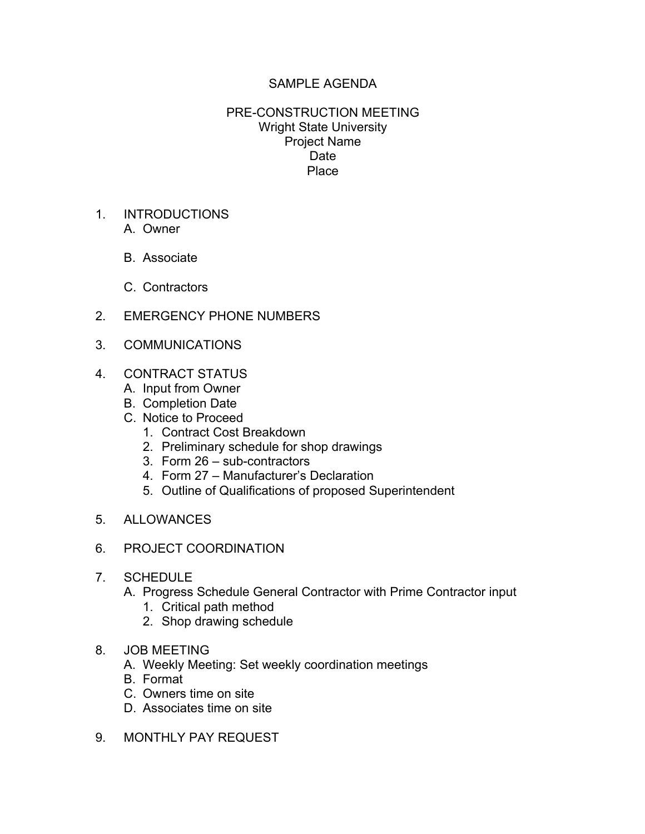## SAMPLE AGENDA

## PRE-CONSTRUCTION MEETING Wright State University Project Name Date Place

- 1. INTRODUCTIONS A. Owner
	- B. Associate
	- C. Contractors
- 2. EMERGENCY PHONE NUMBERS
- 3. COMMUNICATIONS
- 4. CONTRACT STATUS
	- A. Input from Owner
	- B. Completion Date
	- C. Notice to Proceed
		- 1. Contract Cost Breakdown
		- 2. Preliminary schedule for shop drawings
		- 3. Form 26 sub-contractors
		- 4. Form 27 Manufacturer's Declaration
		- 5. Outline of Qualifications of proposed Superintendent
- 5. ALLOWANCES
- 6. PROJECT COORDINATION
- 7. SCHEDULE
	- A. Progress Schedule General Contractor with Prime Contractor input
		- 1. Critical path method
		- 2. Shop drawing schedule
- 8. JOB MEETING
	- A. Weekly Meeting: Set weekly coordination meetings
	- B. Format
	- C. Owners time on site
	- D. Associates time on site
- 9 MONTHLY PAY REQUEST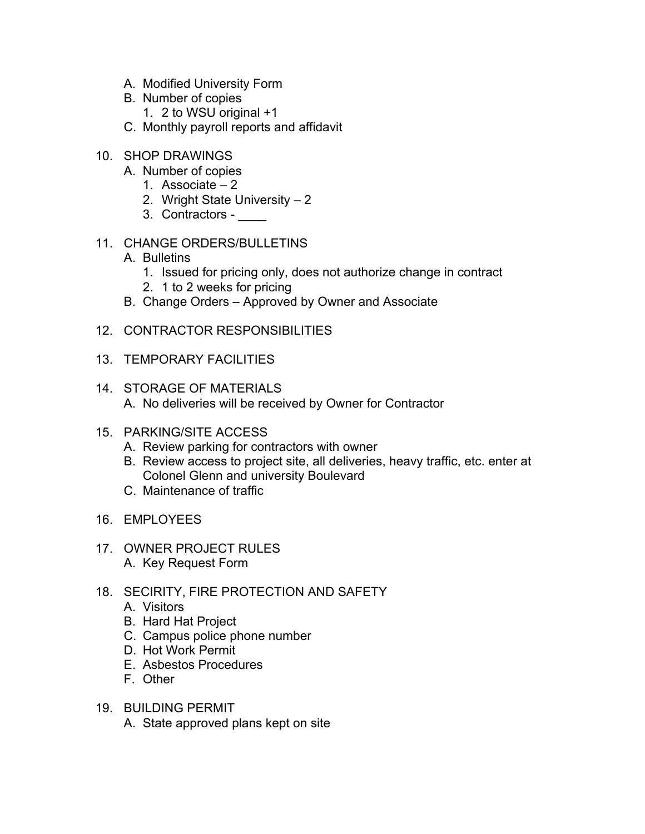- A. Modified University Form
- B. Number of copies
	- 1. 2 to WSU original +1
- C. Monthly payroll reports and affidavit
- 10. SHOP DRAWINGS
	- A. Number of copies
		- 1. Associate 2
		- 2. Wright State University 2
		- 3. Contractors \_\_\_\_
- 11. CHANGE ORDERS/BULLETINS
	- A. Bulletins
		- 1. Issued for pricing only, does not authorize change in contract
		- 2. 1 to 2 weeks for pricing
	- B. Change Orders Approved by Owner and Associate
- 12. CONTRACTOR RESPONSIBILITIES
- 13. TEMPORARY FACILITIES
- 14. STORAGE OF MATERIALS A. No deliveries will be received by Owner for Contractor
- 15. PARKING/SITE ACCESS
	- A. Review parking for contractors with owner
	- B. Review access to project site, all deliveries, heavy traffic, etc. enter at Colonel Glenn and university Boulevard
	- C. Maintenance of traffic
- 16. EMPLOYEES
- 17. OWNER PROJECT RULES A. Key Request Form
- 18. SECIRITY, FIRE PROTECTION AND SAFETY
	- A. Visitors
	- B. Hard Hat Project
	- C. Campus police phone number
	- D. Hot Work Permit
	- E. Asbestos Procedures
	- F. Other
- 19. BUILDING PERMIT
	- A. State approved plans kept on site